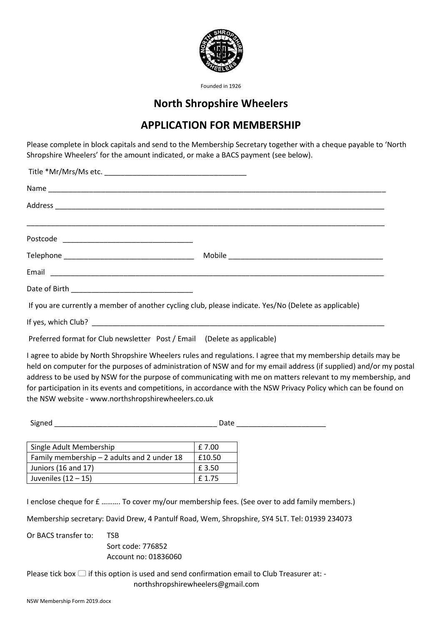

Founded in 1926

## **North Shropshire Wheelers**

## **APPLICATION FOR MEMBERSHIP**

Please complete in block capitals and send to the Membership Secretary together with a cheque payable to 'North Shropshire Wheelers' for the amount indicated, or make a BACS payment (see below).

| If you are currently a member of another cycling club, please indicate. Yes/No (Delete as applicable) |
|-------------------------------------------------------------------------------------------------------|
|                                                                                                       |
|                                                                                                       |

Preferred format for Club newsletter Post / Email (Delete as applicable)

I agree to abide by North Shropshire Wheelers rules and regulations. I agree that my membership details may be held on computer for the purposes of administration of NSW and for my email address (if supplied) and/or my postal address to be used by NSW for the purpose of communicating with me on matters relevant to my membership, and for participation in its events and competitions, in accordance with the NSW Privacy Policy which can be found on the NSW website - www.northshropshirewheelers.co.uk

Signed \_\_\_\_\_\_\_\_\_\_\_\_\_\_\_\_\_\_\_\_\_\_\_\_\_\_\_\_\_\_\_\_\_\_\_\_\_\_\_\_ Date \_\_\_\_\_\_\_\_\_\_\_\_\_\_\_\_\_\_\_\_\_\_

| Single Adult Membership                      | £ 7.00 |
|----------------------------------------------|--------|
| Family membership $-2$ adults and 2 under 18 | £10.50 |
| Juniors (16 and 17)                          | £ 3.50 |
| Juveniles $(12 - 15)$                        | £1.75  |

I enclose cheque for £ ………. To cover my/our membership fees. (See over to add family members.)

Membership secretary: David Drew, 4 Pantulf Road, Wem, Shropshire, SY4 5LT. Tel: 01939 234073

Or BACS transfer to: TSB Sort code: 776852 Account no: 01836060

Please tick box  $\Box$  if this option is used and send confirmation email to Club Treasurer at: northshropshirewheelers@gmail.com